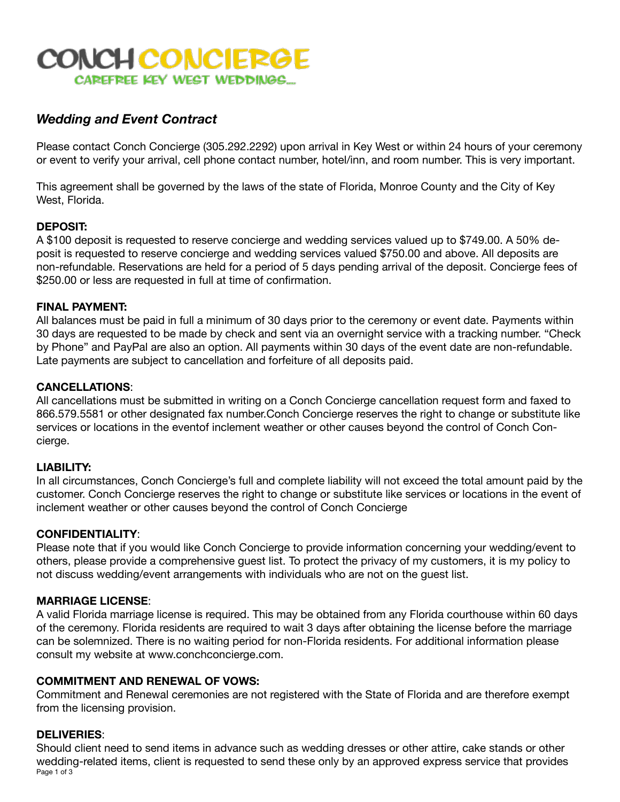# CONCH CONCIERGE CAREFREE KEY WEST WEDDINGS...

# *Wedding and Event Contract*

Please contact Conch Concierge (305.292.2292) upon arrival in Key West or within 24 hours of your ceremony or event to verify your arrival, cell phone contact number, hotel/inn, and room number. This is very important.

This agreement shall be governed by the laws of the state of Florida, Monroe County and the City of Key West, Florida.

## **DEPOSIT:**

A \$100 deposit is requested to reserve concierge and wedding services valued up to \$749.00. A 50% deposit is requested to reserve concierge and wedding services valued \$750.00 and above. All deposits are non-refundable. Reservations are held for a period of 5 days pending arrival of the deposit. Concierge fees of \$250.00 or less are requested in full at time of confirmation.

#### **FINAL PAYMENT:**

All balances must be paid in full a minimum of 30 days prior to the ceremony or event date. Payments within 30 days are requested to be made by check and sent via an overnight service with a tracking number. "Check by Phone" and PayPal are also an option. All payments within 30 days of the event date are non-refundable. Late payments are subject to cancellation and forfeiture of all deposits paid.

#### **CANCELLATIONS**:

All cancellations must be submitted in writing on a Conch Concierge cancellation request form and faxed to 866.579.5581 or other designated fax number.Conch Concierge reserves the right to change or substitute like services or locations in the eventof inclement weather or other causes beyond the control of Conch Concierge.

#### **LIABILITY:**

In all circumstances, Conch Concierge's full and complete liability will not exceed the total amount paid by the customer. Conch Concierge reserves the right to change or substitute like services or locations in the event of inclement weather or other causes beyond the control of Conch Concierge

#### **CONFIDENTIALITY**:

Please note that if you would like Conch Concierge to provide information concerning your wedding/event to others, please provide a comprehensive guest list. To protect the privacy of my customers, it is my policy to not discuss wedding/event arrangements with individuals who are not on the guest list.

#### **MARRIAGE LICENSE**:

A valid Florida marriage license is required. This may be obtained from any Florida courthouse within 60 days of the ceremony. Florida residents are required to wait 3 days after obtaining the license before the marriage can be solemnized. There is no waiting period for non-Florida residents. For additional information please consult my website at www.conchconcierge.com.

#### **COMMITMENT AND RENEWAL OF VOWS:**

Commitment and Renewal ceremonies are not registered with the State of Florida and are therefore exempt from the licensing provision.

#### **DELIVERIES**:

Should client need to send items in advance such as wedding dresses or other attire, cake stands or other wedding-related items, client is requested to send these only by an approved express service that provides Page 1 of 3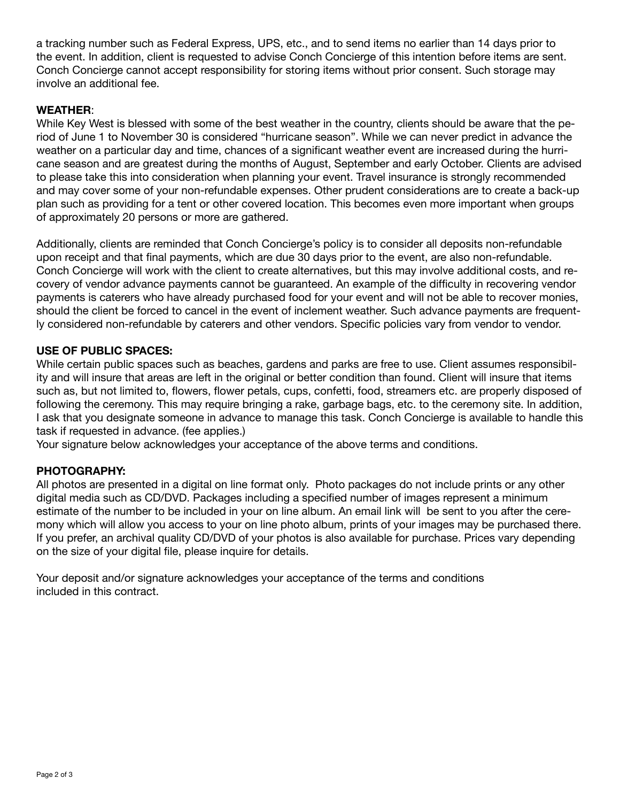a tracking number such as Federal Express, UPS, etc., and to send items no earlier than 14 days prior to the event. In addition, client is requested to advise Conch Concierge of this intention before items are sent. Conch Concierge cannot accept responsibility for storing items without prior consent. Such storage may involve an additional fee.

## **WEATHER**:

While Key West is blessed with some of the best weather in the country, clients should be aware that the period of June 1 to November 30 is considered "hurricane season". While we can never predict in advance the weather on a particular day and time, chances of a significant weather event are increased during the hurricane season and are greatest during the months of August, September and early October. Clients are advised to please take this into consideration when planning your event. Travel insurance is strongly recommended and may cover some of your non-refundable expenses. Other prudent considerations are to create a back-up plan such as providing for a tent or other covered location. This becomes even more important when groups of approximately 20 persons or more are gathered.

Additionally, clients are reminded that Conch Concierge's policy is to consider all deposits non-refundable upon receipt and that final payments, which are due 30 days prior to the event, are also non-refundable. Conch Concierge will work with the client to create alternatives, but this may involve additional costs, and recovery of vendor advance payments cannot be guaranteed. An example of the difficulty in recovering vendor payments is caterers who have already purchased food for your event and will not be able to recover monies, should the client be forced to cancel in the event of inclement weather. Such advance payments are frequently considered non-refundable by caterers and other vendors. Specific policies vary from vendor to vendor.

#### **USE OF PUBLIC SPACES:**

While certain public spaces such as beaches, gardens and parks are free to use. Client assumes responsibility and will insure that areas are left in the original or better condition than found. Client will insure that items such as, but not limited to, flowers, flower petals, cups, confetti, food, streamers etc. are properly disposed of following the ceremony. This may require bringing a rake, garbage bags, etc. to the ceremony site. In addition, I ask that you designate someone in advance to manage this task. Conch Concierge is available to handle this task if requested in advance. (fee applies.)

Your signature below acknowledges your acceptance of the above terms and conditions.

#### **PHOTOGRAPHY:**

All photos are presented in a digital on line format only. Photo packages do not include prints or any other digital media such as CD/DVD. Packages including a specified number of images represent a minimum estimate of the number to be included in your on line album. An email link will be sent to you after the ceremony which will allow you access to your on line photo album, prints of your images may be purchased there. If you prefer, an archival quality CD/DVD of your photos is also available for purchase. Prices vary depending on the size of your digital file, please inquire for details.

Your deposit and/or signature acknowledges your acceptance of the terms and conditions included in this contract.